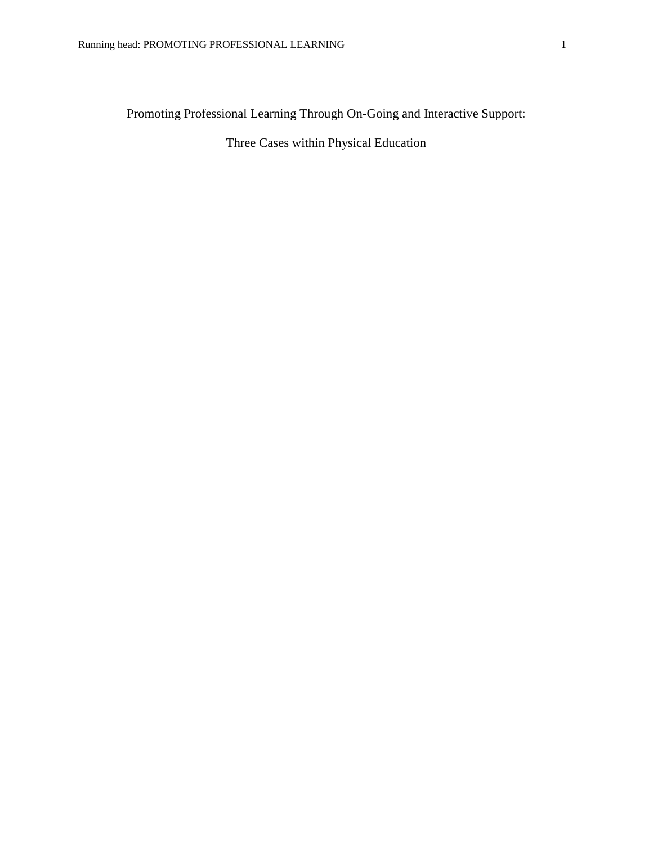# Promoting Professional Learning Through On-Going and Interactive Support:

Three Cases within Physical Education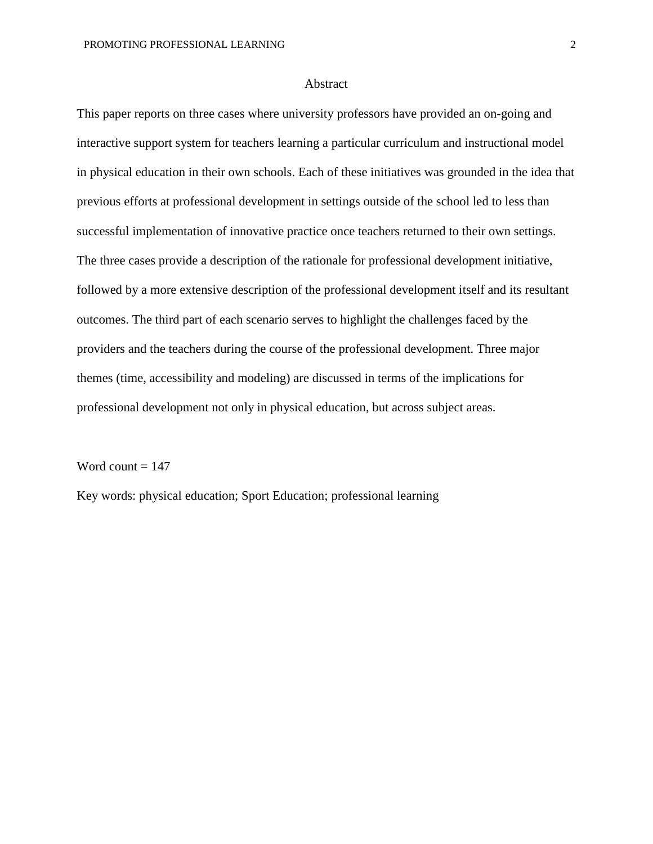#### Abstract

This paper reports on three cases where university professors have provided an on-going and interactive support system for teachers learning a particular curriculum and instructional model in physical education in their own schools. Each of these initiatives was grounded in the idea that previous efforts at professional development in settings outside of the school led to less than successful implementation of innovative practice once teachers returned to their own settings. The three cases provide a description of the rationale for professional development initiative, followed by a more extensive description of the professional development itself and its resultant outcomes. The third part of each scenario serves to highlight the challenges faced by the providers and the teachers during the course of the professional development. Three major themes (time, accessibility and modeling) are discussed in terms of the implications for professional development not only in physical education, but across subject areas.

Word count  $= 147$ 

Key words: physical education; Sport Education; professional learning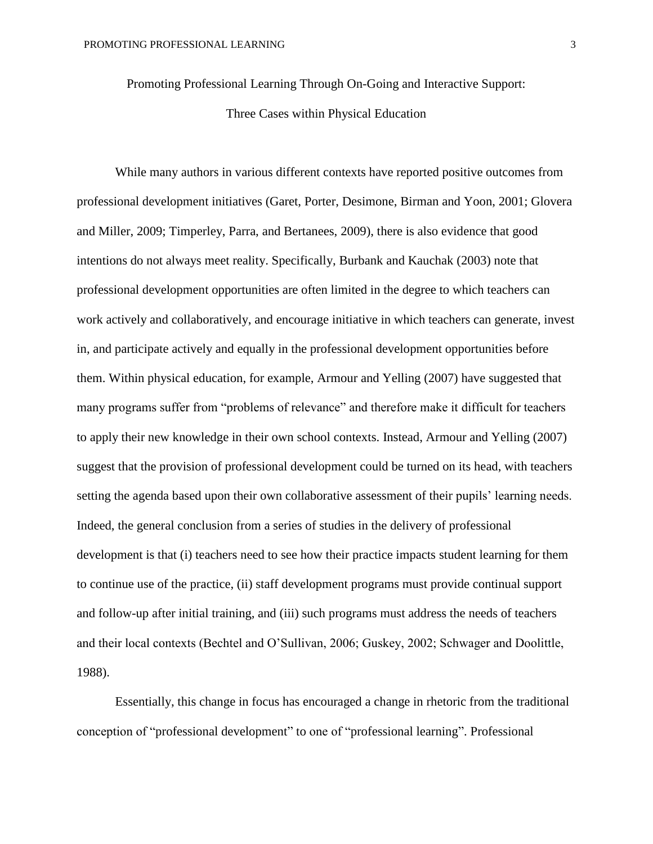Promoting Professional Learning Through On-Going and Interactive Support: Three Cases within Physical Education

While many authors in various different contexts have reported positive outcomes from professional development initiatives (Garet, Porter, Desimone, Birman and Yoon, 2001; Glovera and Miller, 2009; Timperley, Parra, and Bertanees, 2009), there is also evidence that good intentions do not always meet reality. Specifically, Burbank and Kauchak (2003) note that professional development opportunities are often limited in the degree to which teachers can work actively and collaboratively, and encourage initiative in which teachers can generate, invest in, and participate actively and equally in the professional development opportunities before them. Within physical education, for example, Armour and Yelling (2007) have suggested that many programs suffer from "problems of relevance" and therefore make it difficult for teachers to apply their new knowledge in their own school contexts. Instead, Armour and Yelling (2007) suggest that the provision of professional development could be turned on its head, with teachers setting the agenda based upon their own collaborative assessment of their pupils' learning needs. Indeed, the general conclusion from a series of studies in the delivery of professional development is that (i) teachers need to see how their practice impacts student learning for them to continue use of the practice, (ii) staff development programs must provide continual support and follow-up after initial training, and (iii) such programs must address the needs of teachers and their local contexts (Bechtel and O'Sullivan, 2006; Guskey, 2002; Schwager and Doolittle, 1988).

Essentially, this change in focus has encouraged a change in rhetoric from the traditional conception of "professional development" to one of "professional learning". Professional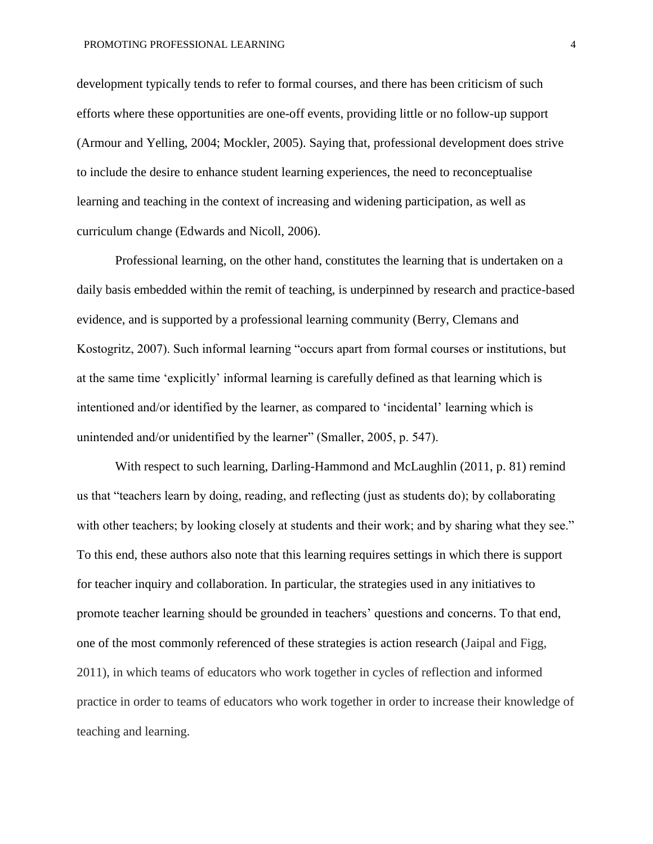development typically tends to refer to formal courses, and there has been criticism of such efforts where these opportunities are one-off events, providing little or no follow-up support (Armour and Yelling, 2004; Mockler, 2005). Saying that, professional development does strive to include the desire to enhance student learning experiences, the need to reconceptualise learning and teaching in the context of increasing and widening participation, as well as curriculum change (Edwards and Nicoll, 2006).

Professional learning, on the other hand, constitutes the learning that is undertaken on a daily basis embedded within the remit of teaching, is underpinned by research and practice-based evidence, and is supported by a professional learning community (Berry, Clemans and Kostogritz, 2007). Such informal learning "occurs apart from formal courses or institutions, but at the same time 'explicitly' informal learning is carefully defined as that learning which is intentioned and/or identified by the learner, as compared to 'incidental' learning which is unintended and/or unidentified by the learner" (Smaller, 2005, p. 547).

With respect to such learning, Darling-Hammond and McLaughlin (2011, p. 81) remind us that "teachers learn by doing, reading, and reflecting (just as students do); by collaborating with other teachers; by looking closely at students and their work; and by sharing what they see." To this end, these authors also note that this learning requires settings in which there is support for teacher inquiry and collaboration. In particular, the strategies used in any initiatives to promote teacher learning should be grounded in teachers' questions and concerns. To that end, one of the most commonly referenced of these strategies is action research (Jaipal and Figg, 2011), in which teams of educators who work together in cycles of reflection and informed practice in order to teams of educators who work together in order to increase their knowledge of teaching and learning.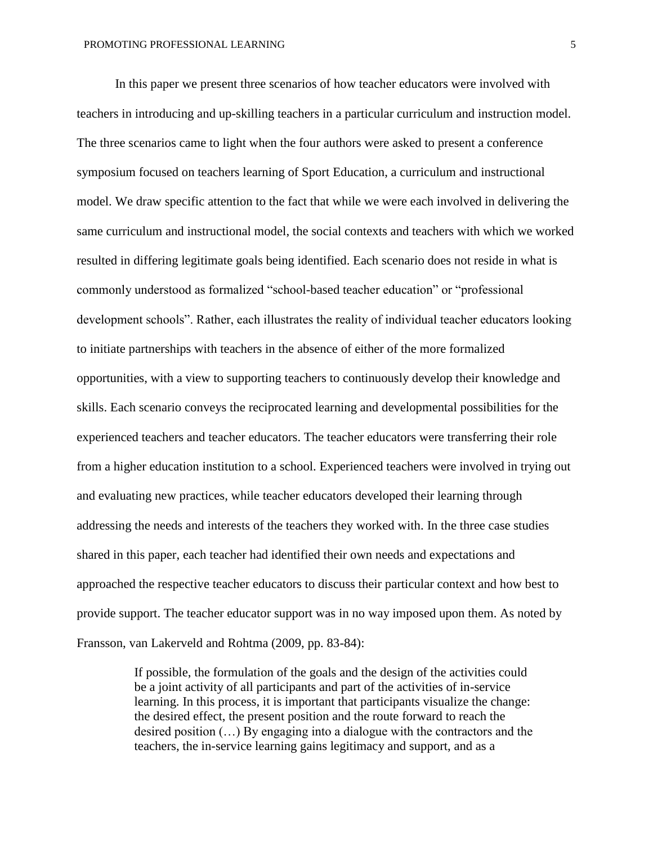In this paper we present three scenarios of how teacher educators were involved with teachers in introducing and up-skilling teachers in a particular curriculum and instruction model. The three scenarios came to light when the four authors were asked to present a conference symposium focused on teachers learning of Sport Education, a curriculum and instructional model. We draw specific attention to the fact that while we were each involved in delivering the same curriculum and instructional model, the social contexts and teachers with which we worked resulted in differing legitimate goals being identified. Each scenario does not reside in what is commonly understood as formalized "school-based teacher education" or "professional development schools". Rather, each illustrates the reality of individual teacher educators looking to initiate partnerships with teachers in the absence of either of the more formalized opportunities, with a view to supporting teachers to continuously develop their knowledge and skills. Each scenario conveys the reciprocated learning and developmental possibilities for the experienced teachers and teacher educators. The teacher educators were transferring their role from a higher education institution to a school. Experienced teachers were involved in trying out and evaluating new practices, while teacher educators developed their learning through addressing the needs and interests of the teachers they worked with. In the three case studies shared in this paper, each teacher had identified their own needs and expectations and approached the respective teacher educators to discuss their particular context and how best to provide support. The teacher educator support was in no way imposed upon them. As noted by Fransson, van Lakerveld and Rohtma (2009, pp. 83-84):

> If possible, the formulation of the goals and the design of the activities could be a joint activity of all participants and part of the activities of in-service learning. In this process, it is important that participants visualize the change: the desired effect, the present position and the route forward to reach the desired position (…) By engaging into a dialogue with the contractors and the teachers, the in-service learning gains legitimacy and support, and as a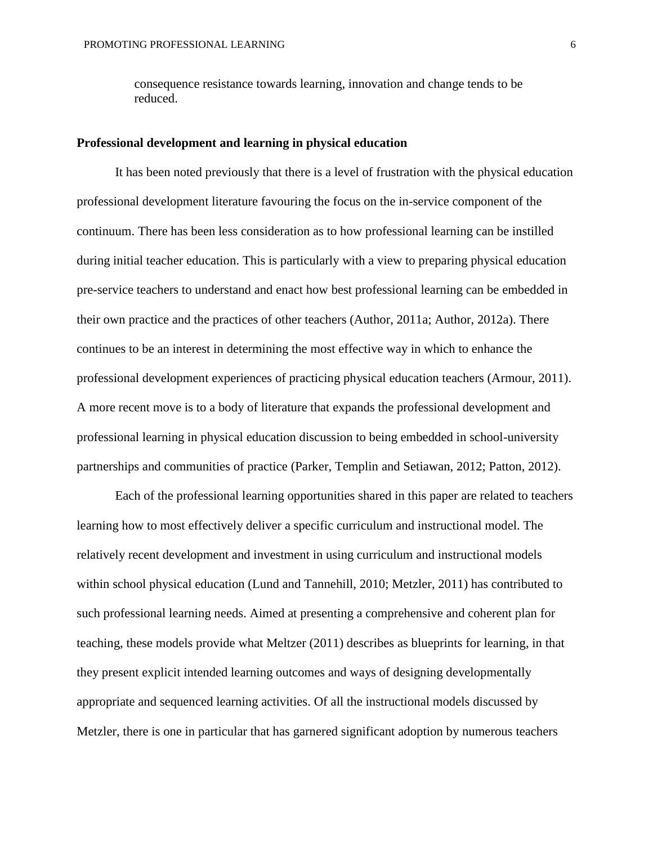consequence resistance towards learning, innovation and change tends to be reduced.

#### **Professional development and learning in physical education**

It has been noted previously that there is a level of frustration with the physical education professional development literature favouring the focus on the in-service component of the continuum. There has been less consideration as to how professional learning can be instilled during initial teacher education. This is particularly with a view to preparing physical education pre-service teachers to understand and enact how best professional learning can be embedded in their own practice and the practices of other teachers (Author, 2011a; Author, 2012a). There continues to be an interest in determining the most effective way in which to enhance the professional development experiences of practicing physical education teachers (Armour, 2011). A more recent move is to a body of literature that expands the professional development and professional learning in physical education discussion to being embedded in school-university partnerships and communities of practice (Parker, Templin and Setiawan, 2012; Patton, 2012).

Each of the professional learning opportunities shared in this paper are related to teachers learning how to most effectively deliver a specific curriculum and instructional model. The relatively recent development and investment in using curriculum and instructional models within school physical education (Lund and Tannehill, 2010; Metzler, 2011) has contributed to such professional learning needs. Aimed at presenting a comprehensive and coherent plan for teaching, these models provide what Meltzer (2011) describes as blueprints for learning, in that they present explicit intended learning outcomes and ways of designing developmentally appropriate and sequenced learning activities. Of all the instructional models discussed by Metzler, there is one in particular that has garnered significant adoption by numerous teachers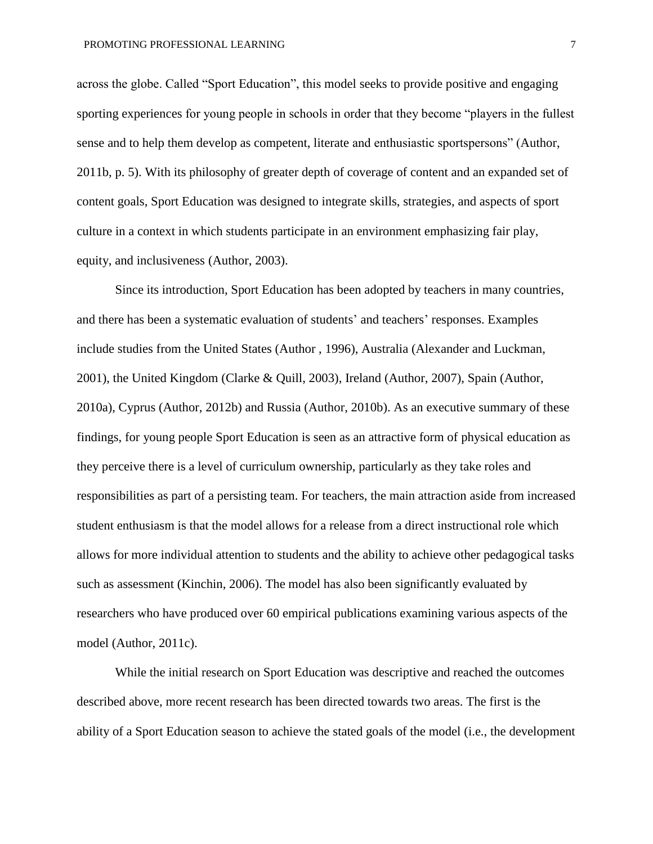across the globe. Called "Sport Education", this model seeks to provide positive and engaging sporting experiences for young people in schools in order that they become "players in the fullest sense and to help them develop as competent, literate and enthusiastic sportspersons" (Author, 2011b, p. 5). With its philosophy of greater depth of coverage of content and an expanded set of content goals, Sport Education was designed to integrate skills, strategies, and aspects of sport culture in a context in which students participate in an environment emphasizing fair play, equity, and inclusiveness (Author, 2003).

Since its introduction, Sport Education has been adopted by teachers in many countries, and there has been a systematic evaluation of students' and teachers' responses. Examples include studies from the United States (Author , 1996), Australia (Alexander and Luckman, 2001), the United Kingdom (Clarke & Quill, 2003), Ireland (Author, 2007), Spain (Author, 2010a), Cyprus (Author, 2012b) and Russia (Author, 2010b). As an executive summary of these findings, for young people Sport Education is seen as an attractive form of physical education as they perceive there is a level of curriculum ownership, particularly as they take roles and responsibilities as part of a persisting team. For teachers, the main attraction aside from increased student enthusiasm is that the model allows for a release from a direct instructional role which allows for more individual attention to students and the ability to achieve other pedagogical tasks such as assessment (Kinchin, 2006). The model has also been significantly evaluated by researchers who have produced over 60 empirical publications examining various aspects of the model (Author, 2011c).

While the initial research on Sport Education was descriptive and reached the outcomes described above, more recent research has been directed towards two areas. The first is the ability of a Sport Education season to achieve the stated goals of the model (i.e., the development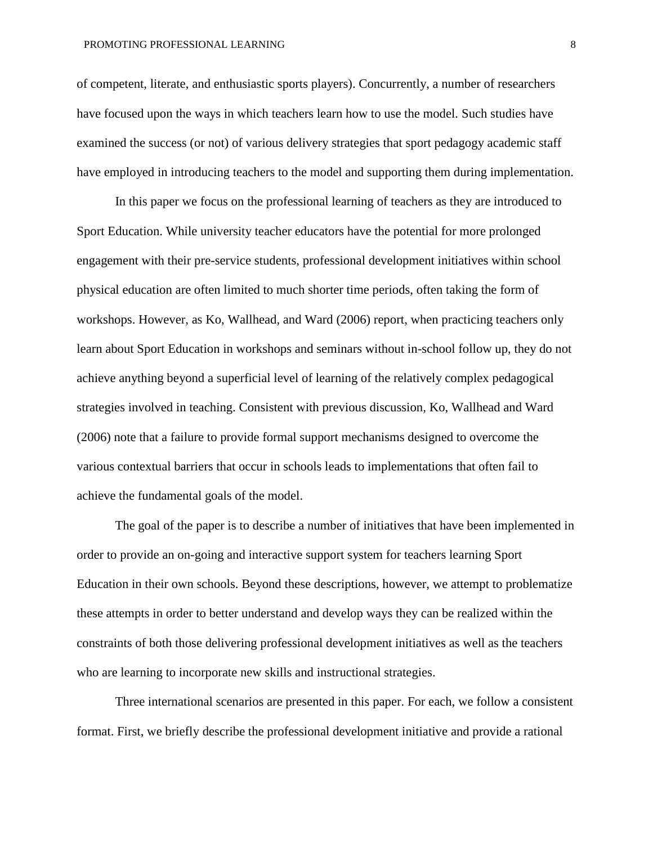of competent, literate, and enthusiastic sports players). Concurrently, a number of researchers have focused upon the ways in which teachers learn how to use the model. Such studies have examined the success (or not) of various delivery strategies that sport pedagogy academic staff have employed in introducing teachers to the model and supporting them during implementation.

In this paper we focus on the professional learning of teachers as they are introduced to Sport Education. While university teacher educators have the potential for more prolonged engagement with their pre-service students, professional development initiatives within school physical education are often limited to much shorter time periods, often taking the form of workshops. However, as Ko, Wallhead, and Ward (2006) report, when practicing teachers only learn about Sport Education in workshops and seminars without in-school follow up, they do not achieve anything beyond a superficial level of learning of the relatively complex pedagogical strategies involved in teaching. Consistent with previous discussion, Ko, Wallhead and Ward (2006) note that a failure to provide formal support mechanisms designed to overcome the various contextual barriers that occur in schools leads to implementations that often fail to achieve the fundamental goals of the model.

The goal of the paper is to describe a number of initiatives that have been implemented in order to provide an on-going and interactive support system for teachers learning Sport Education in their own schools. Beyond these descriptions, however, we attempt to problematize these attempts in order to better understand and develop ways they can be realized within the constraints of both those delivering professional development initiatives as well as the teachers who are learning to incorporate new skills and instructional strategies.

Three international scenarios are presented in this paper. For each, we follow a consistent format. First, we briefly describe the professional development initiative and provide a rational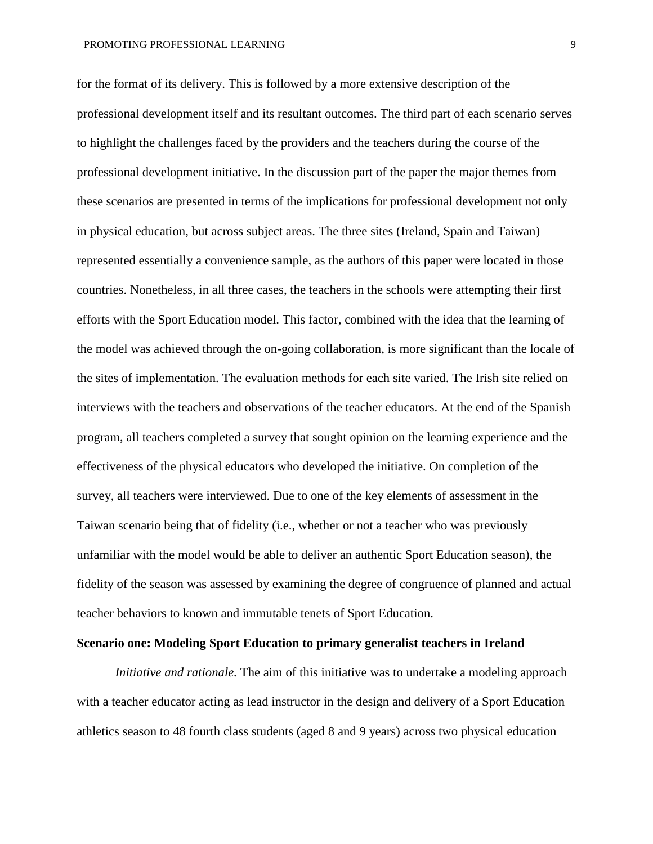for the format of its delivery. This is followed by a more extensive description of the professional development itself and its resultant outcomes. The third part of each scenario serves to highlight the challenges faced by the providers and the teachers during the course of the professional development initiative. In the discussion part of the paper the major themes from these scenarios are presented in terms of the implications for professional development not only in physical education, but across subject areas. The three sites (Ireland, Spain and Taiwan) represented essentially a convenience sample, as the authors of this paper were located in those countries. Nonetheless, in all three cases, the teachers in the schools were attempting their first efforts with the Sport Education model. This factor, combined with the idea that the learning of the model was achieved through the on-going collaboration, is more significant than the locale of the sites of implementation. The evaluation methods for each site varied. The Irish site relied on interviews with the teachers and observations of the teacher educators. At the end of the Spanish program, all teachers completed a survey that sought opinion on the learning experience and the effectiveness of the physical educators who developed the initiative. On completion of the survey, all teachers were interviewed. Due to one of the key elements of assessment in the Taiwan scenario being that of fidelity (i.e., whether or not a teacher who was previously unfamiliar with the model would be able to deliver an authentic Sport Education season), the fidelity of the season was assessed by examining the degree of congruence of planned and actual teacher behaviors to known and immutable tenets of Sport Education.

# **Scenario one: Modeling Sport Education to primary generalist teachers in Ireland**

*Initiative and rationale.* The aim of this initiative was to undertake a modeling approach with a teacher educator acting as lead instructor in the design and delivery of a Sport Education athletics season to 48 fourth class students (aged 8 and 9 years) across two physical education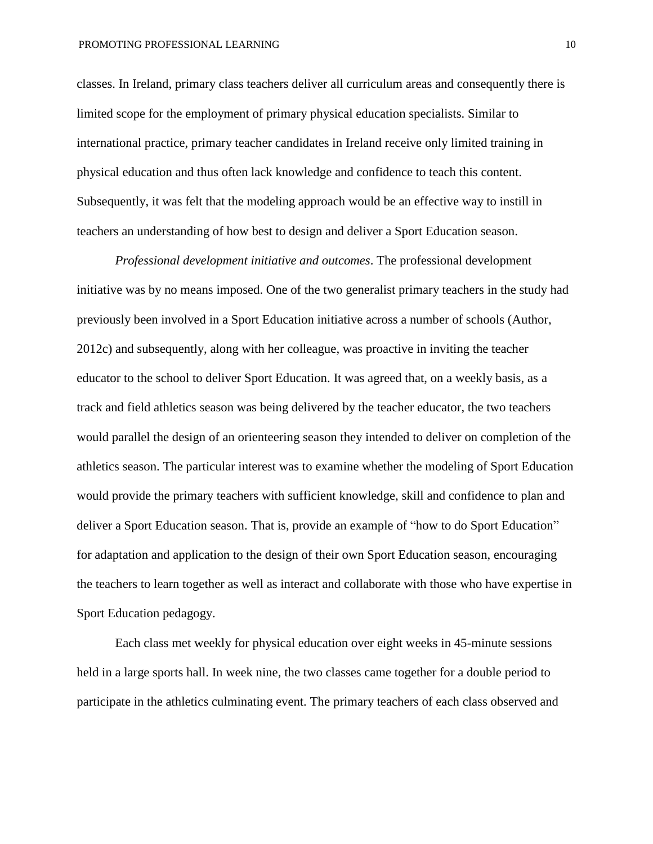classes. In Ireland, primary class teachers deliver all curriculum areas and consequently there is limited scope for the employment of primary physical education specialists. Similar to international practice, primary teacher candidates in Ireland receive only limited training in physical education and thus often lack knowledge and confidence to teach this content. Subsequently, it was felt that the modeling approach would be an effective way to instill in teachers an understanding of how best to design and deliver a Sport Education season.

*Professional development initiative and outcomes*. The professional development initiative was by no means imposed. One of the two generalist primary teachers in the study had previously been involved in a Sport Education initiative across a number of schools (Author, 2012c) and subsequently, along with her colleague, was proactive in inviting the teacher educator to the school to deliver Sport Education. It was agreed that, on a weekly basis, as a track and field athletics season was being delivered by the teacher educator, the two teachers would parallel the design of an orienteering season they intended to deliver on completion of the athletics season. The particular interest was to examine whether the modeling of Sport Education would provide the primary teachers with sufficient knowledge, skill and confidence to plan and deliver a Sport Education season. That is, provide an example of "how to do Sport Education" for adaptation and application to the design of their own Sport Education season, encouraging the teachers to learn together as well as interact and collaborate with those who have expertise in Sport Education pedagogy.

Each class met weekly for physical education over eight weeks in 45-minute sessions held in a large sports hall. In week nine, the two classes came together for a double period to participate in the athletics culminating event. The primary teachers of each class observed and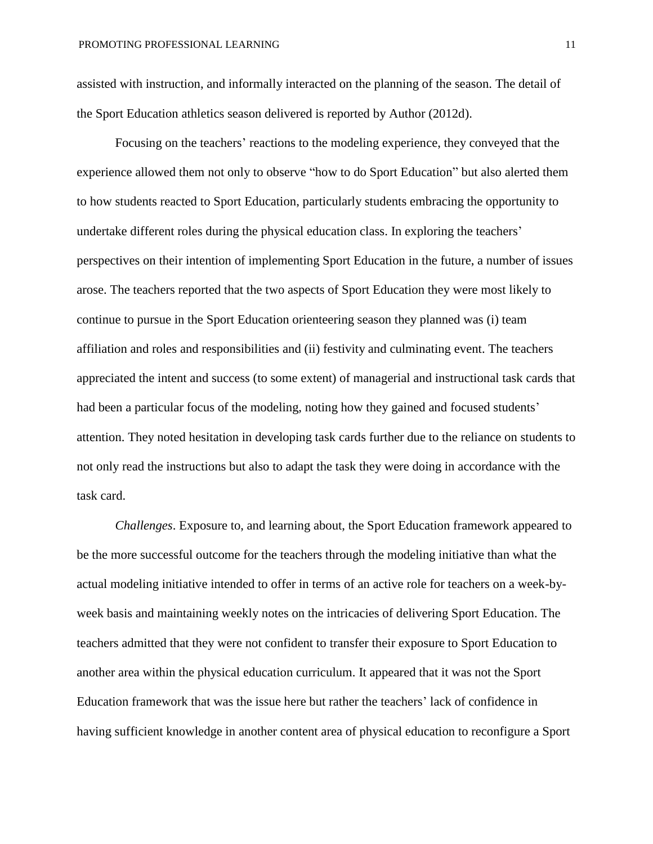assisted with instruction, and informally interacted on the planning of the season. The detail of the Sport Education athletics season delivered is reported by Author (2012d).

Focusing on the teachers' reactions to the modeling experience, they conveyed that the experience allowed them not only to observe "how to do Sport Education" but also alerted them to how students reacted to Sport Education, particularly students embracing the opportunity to undertake different roles during the physical education class. In exploring the teachers' perspectives on their intention of implementing Sport Education in the future, a number of issues arose. The teachers reported that the two aspects of Sport Education they were most likely to continue to pursue in the Sport Education orienteering season they planned was (i) team affiliation and roles and responsibilities and (ii) festivity and culminating event. The teachers appreciated the intent and success (to some extent) of managerial and instructional task cards that had been a particular focus of the modeling, noting how they gained and focused students' attention. They noted hesitation in developing task cards further due to the reliance on students to not only read the instructions but also to adapt the task they were doing in accordance with the task card.

*Challenges*. Exposure to, and learning about, the Sport Education framework appeared to be the more successful outcome for the teachers through the modeling initiative than what the actual modeling initiative intended to offer in terms of an active role for teachers on a week-byweek basis and maintaining weekly notes on the intricacies of delivering Sport Education. The teachers admitted that they were not confident to transfer their exposure to Sport Education to another area within the physical education curriculum. It appeared that it was not the Sport Education framework that was the issue here but rather the teachers' lack of confidence in having sufficient knowledge in another content area of physical education to reconfigure a Sport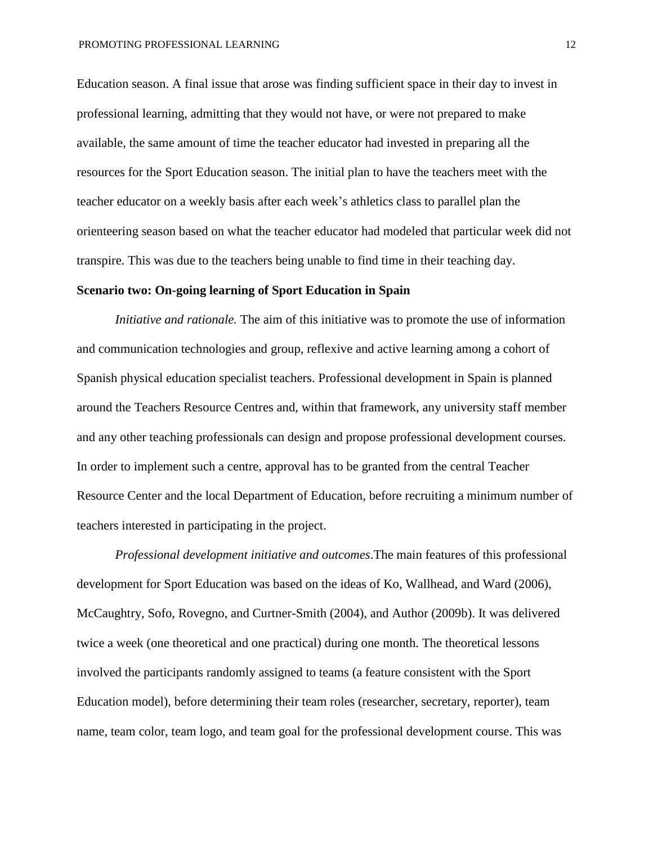Education season. A final issue that arose was finding sufficient space in their day to invest in professional learning, admitting that they would not have, or were not prepared to make available, the same amount of time the teacher educator had invested in preparing all the resources for the Sport Education season. The initial plan to have the teachers meet with the teacher educator on a weekly basis after each week's athletics class to parallel plan the orienteering season based on what the teacher educator had modeled that particular week did not transpire. This was due to the teachers being unable to find time in their teaching day.

# **Scenario two: On-going learning of Sport Education in Spain**

*Initiative and rationale.* The aim of this initiative was to promote the use of information and communication technologies and group, reflexive and active learning among a cohort of Spanish physical education specialist teachers. Professional development in Spain is planned around the Teachers Resource Centres and, within that framework, any university staff member and any other teaching professionals can design and propose professional development courses. In order to implement such a centre, approval has to be granted from the central Teacher Resource Center and the local Department of Education, before recruiting a minimum number of teachers interested in participating in the project.

*Professional development initiative and outcomes*.The main features of this professional development for Sport Education was based on the ideas of Ko, Wallhead, and Ward (2006), McCaughtry, Sofo, Rovegno, and Curtner-Smith (2004), and Author (2009b). It was delivered twice a week (one theoretical and one practical) during one month. The theoretical lessons involved the participants randomly assigned to teams (a feature consistent with the Sport Education model), before determining their team roles (researcher, secretary, reporter), team name, team color, team logo, and team goal for the professional development course. This was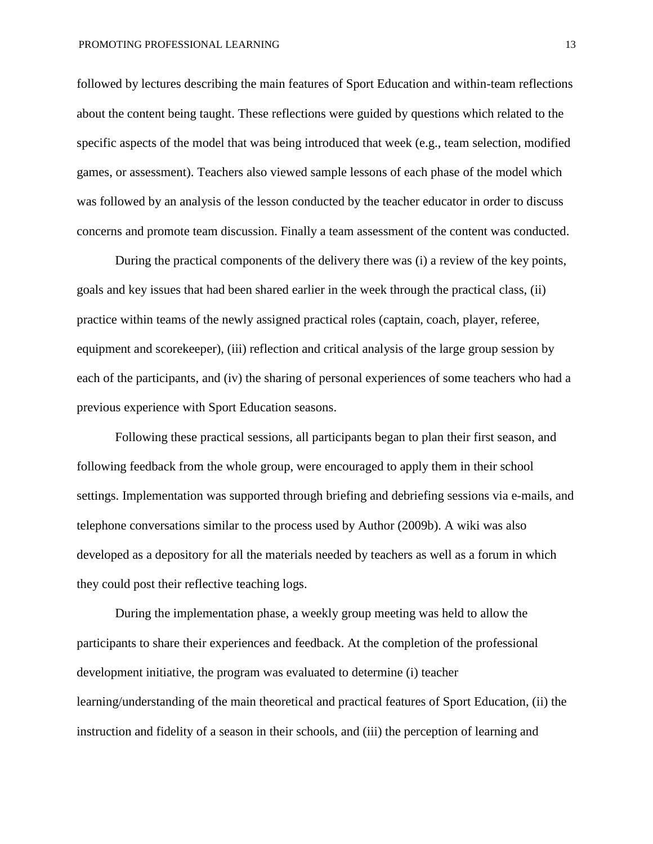followed by lectures describing the main features of Sport Education and within-team reflections about the content being taught. These reflections were guided by questions which related to the specific aspects of the model that was being introduced that week (e.g., team selection, modified games, or assessment). Teachers also viewed sample lessons of each phase of the model which was followed by an analysis of the lesson conducted by the teacher educator in order to discuss concerns and promote team discussion. Finally a team assessment of the content was conducted.

During the practical components of the delivery there was (i) a review of the key points, goals and key issues that had been shared earlier in the week through the practical class, (ii) practice within teams of the newly assigned practical roles (captain, coach, player, referee, equipment and scorekeeper), (iii) reflection and critical analysis of the large group session by each of the participants, and (iv) the sharing of personal experiences of some teachers who had a previous experience with Sport Education seasons.

Following these practical sessions, all participants began to plan their first season, and following feedback from the whole group, were encouraged to apply them in their school settings. Implementation was supported through briefing and debriefing sessions via e-mails, and telephone conversations similar to the process used by Author (2009b). A wiki was also developed as a depository for all the materials needed by teachers as well as a forum in which they could post their reflective teaching logs.

During the implementation phase, a weekly group meeting was held to allow the participants to share their experiences and feedback. At the completion of the professional development initiative, the program was evaluated to determine (i) teacher learning/understanding of the main theoretical and practical features of Sport Education, (ii) the instruction and fidelity of a season in their schools, and (iii) the perception of learning and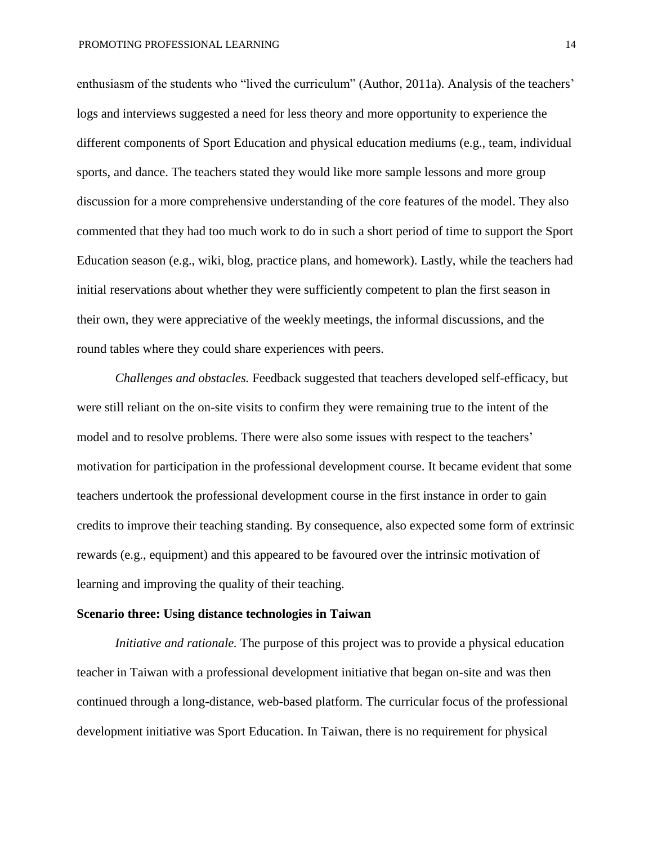enthusiasm of the students who "lived the curriculum" (Author, 2011a). Analysis of the teachers' logs and interviews suggested a need for less theory and more opportunity to experience the different components of Sport Education and physical education mediums (e.g., team, individual sports, and dance. The teachers stated they would like more sample lessons and more group discussion for a more comprehensive understanding of the core features of the model. They also commented that they had too much work to do in such a short period of time to support the Sport Education season (e.g., wiki, blog, practice plans, and homework). Lastly, while the teachers had initial reservations about whether they were sufficiently competent to plan the first season in their own, they were appreciative of the weekly meetings, the informal discussions, and the round tables where they could share experiences with peers.

*Challenges and obstacles.* Feedback suggested that teachers developed self-efficacy, but were still reliant on the on-site visits to confirm they were remaining true to the intent of the model and to resolve problems. There were also some issues with respect to the teachers' motivation for participation in the professional development course. It became evident that some teachers undertook the professional development course in the first instance in order to gain credits to improve their teaching standing. By consequence, also expected some form of extrinsic rewards (e.g., equipment) and this appeared to be favoured over the intrinsic motivation of learning and improving the quality of their teaching.

#### **Scenario three: Using distance technologies in Taiwan**

*Initiative and rationale.* The purpose of this project was to provide a physical education teacher in Taiwan with a professional development initiative that began on-site and was then continued through a long-distance, web-based platform. The curricular focus of the professional development initiative was Sport Education. In Taiwan, there is no requirement for physical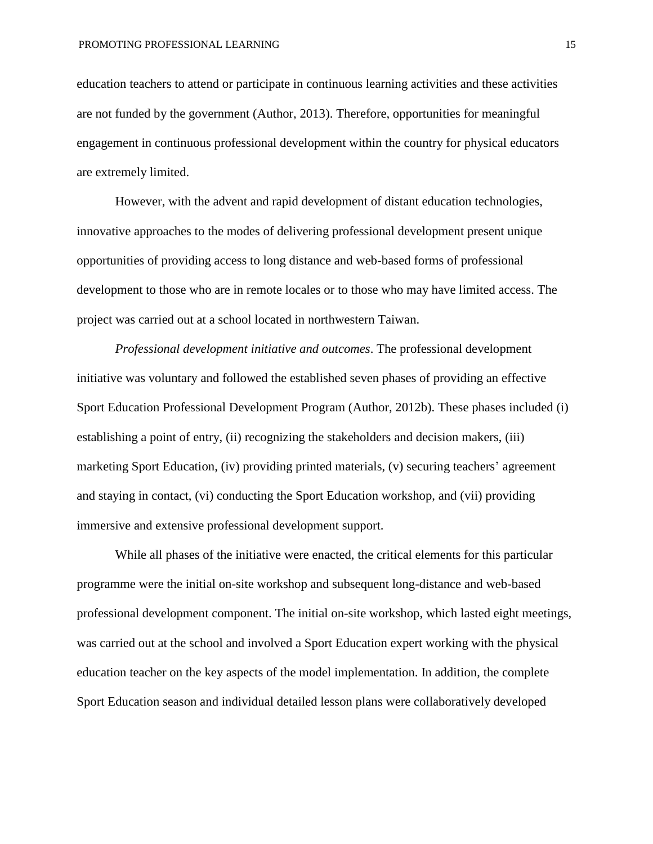education teachers to attend or participate in continuous learning activities and these activities are not funded by the government (Author, 2013). Therefore, opportunities for meaningful engagement in continuous professional development within the country for physical educators are extremely limited.

However, with the advent and rapid development of distant education technologies, innovative approaches to the modes of delivering professional development present unique opportunities of providing access to long distance and web-based forms of professional development to those who are in remote locales or to those who may have limited access. The project was carried out at a school located in northwestern Taiwan.

*Professional development initiative and outcomes*. The professional development initiative was voluntary and followed the established seven phases of providing an effective Sport Education Professional Development Program (Author, 2012b). These phases included (i) establishing a point of entry, (ii) recognizing the stakeholders and decision makers, (iii) marketing Sport Education, (iv) providing printed materials, (v) securing teachers' agreement and staying in contact, (vi) conducting the Sport Education workshop, and (vii) providing immersive and extensive professional development support.

While all phases of the initiative were enacted, the critical elements for this particular programme were the initial on-site workshop and subsequent long-distance and web-based professional development component. The initial on-site workshop, which lasted eight meetings, was carried out at the school and involved a Sport Education expert working with the physical education teacher on the key aspects of the model implementation. In addition, the complete Sport Education season and individual detailed lesson plans were collaboratively developed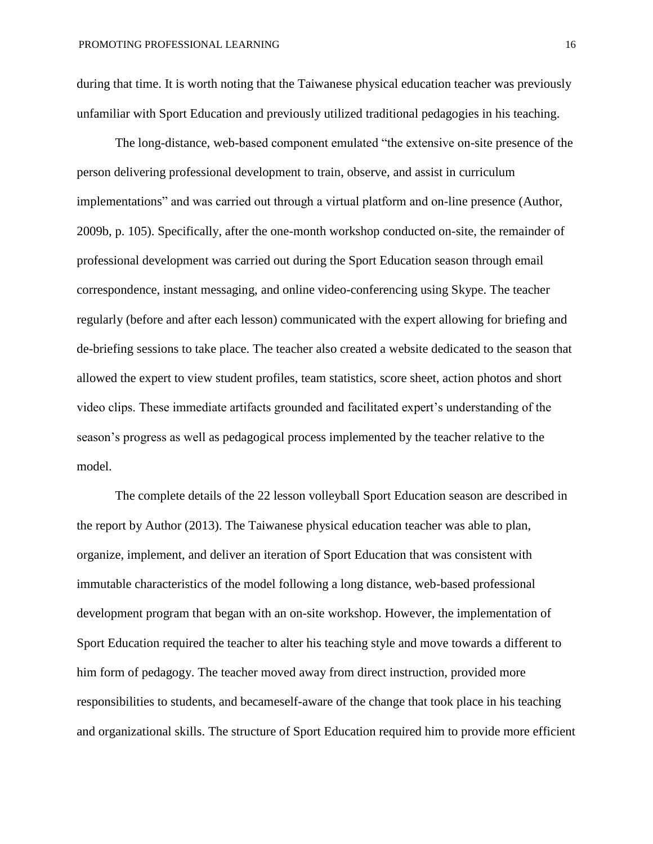during that time. It is worth noting that the Taiwanese physical education teacher was previously unfamiliar with Sport Education and previously utilized traditional pedagogies in his teaching.

The long-distance, web-based component emulated "the extensive on-site presence of the person delivering professional development to train, observe, and assist in curriculum implementations" and was carried out through a virtual platform and on-line presence (Author, 2009b, p. 105). Specifically, after the one-month workshop conducted on-site, the remainder of professional development was carried out during the Sport Education season through email correspondence, instant messaging, and online video-conferencing using Skype. The teacher regularly (before and after each lesson) communicated with the expert allowing for briefing and de-briefing sessions to take place. The teacher also created a website dedicated to the season that allowed the expert to view student profiles, team statistics, score sheet, action photos and short video clips. These immediate artifacts grounded and facilitated expert's understanding of the season's progress as well as pedagogical process implemented by the teacher relative to the model.

The complete details of the 22 lesson volleyball Sport Education season are described in the report by Author (2013). The Taiwanese physical education teacher was able to plan, organize, implement, and deliver an iteration of Sport Education that was consistent with immutable characteristics of the model following a long distance, web-based professional development program that began with an on-site workshop. However, the implementation of Sport Education required the teacher to alter his teaching style and move towards a different to him form of pedagogy. The teacher moved away from direct instruction, provided more responsibilities to students, and becameself-aware of the change that took place in his teaching and organizational skills. The structure of Sport Education required him to provide more efficient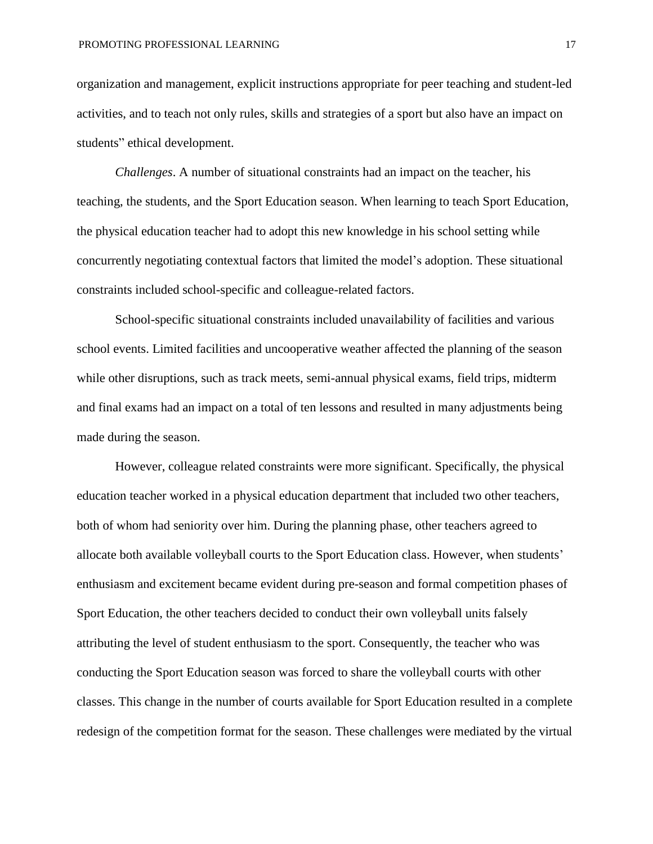organization and management, explicit instructions appropriate for peer teaching and student-led activities, and to teach not only rules, skills and strategies of a sport but also have an impact on students" ethical development.

*Challenges*. A number of situational constraints had an impact on the teacher, his teaching, the students, and the Sport Education season. When learning to teach Sport Education, the physical education teacher had to adopt this new knowledge in his school setting while concurrently negotiating contextual factors that limited the model's adoption. These situational constraints included school-specific and colleague-related factors.

School-specific situational constraints included unavailability of facilities and various school events. Limited facilities and uncooperative weather affected the planning of the season while other disruptions, such as track meets, semi-annual physical exams, field trips, midterm and final exams had an impact on a total of ten lessons and resulted in many adjustments being made during the season.

However, colleague related constraints were more significant. Specifically, the physical education teacher worked in a physical education department that included two other teachers, both of whom had seniority over him. During the planning phase, other teachers agreed to allocate both available volleyball courts to the Sport Education class. However, when students' enthusiasm and excitement became evident during pre-season and formal competition phases of Sport Education, the other teachers decided to conduct their own volleyball units falsely attributing the level of student enthusiasm to the sport. Consequently, the teacher who was conducting the Sport Education season was forced to share the volleyball courts with other classes. This change in the number of courts available for Sport Education resulted in a complete redesign of the competition format for the season. These challenges were mediated by the virtual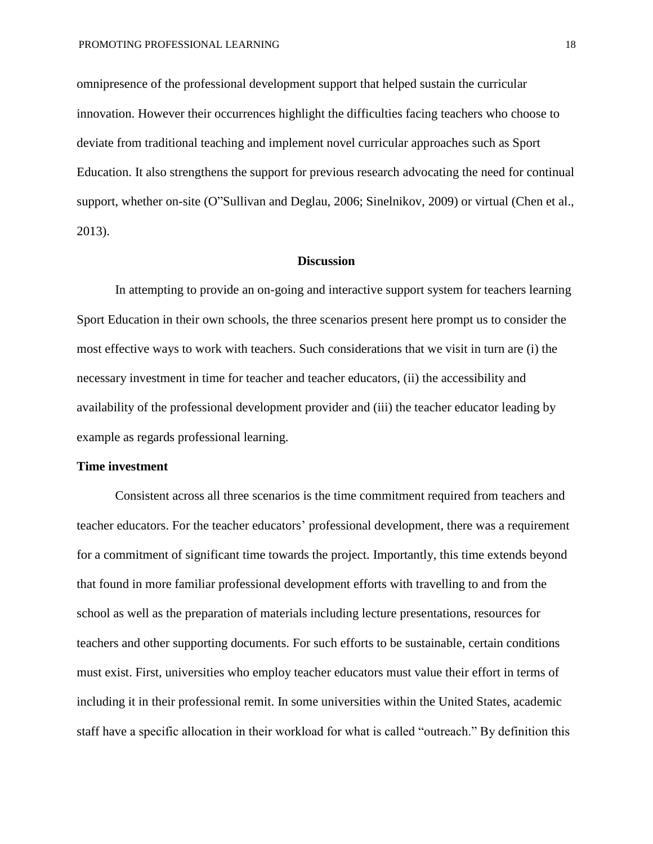omnipresence of the professional development support that helped sustain the curricular innovation. However their occurrences highlight the difficulties facing teachers who choose to deviate from traditional teaching and implement novel curricular approaches such as Sport Education. It also strengthens the support for previous research advocating the need for continual support, whether on-site (O"Sullivan and Deglau, 2006; Sinelnikov, 2009) or virtual (Chen et al., 2013).

#### **Discussion**

In attempting to provide an on-going and interactive support system for teachers learning Sport Education in their own schools, the three scenarios present here prompt us to consider the most effective ways to work with teachers. Such considerations that we visit in turn are (i) the necessary investment in time for teacher and teacher educators, (ii) the accessibility and availability of the professional development provider and (iii) the teacher educator leading by example as regards professional learning.

#### **Time investment**

Consistent across all three scenarios is the time commitment required from teachers and teacher educators. For the teacher educators' professional development, there was a requirement for a commitment of significant time towards the project. Importantly, this time extends beyond that found in more familiar professional development efforts with travelling to and from the school as well as the preparation of materials including lecture presentations, resources for teachers and other supporting documents. For such efforts to be sustainable, certain conditions must exist. First, universities who employ teacher educators must value their effort in terms of including it in their professional remit. In some universities within the United States, academic staff have a specific allocation in their workload for what is called "outreach." By definition this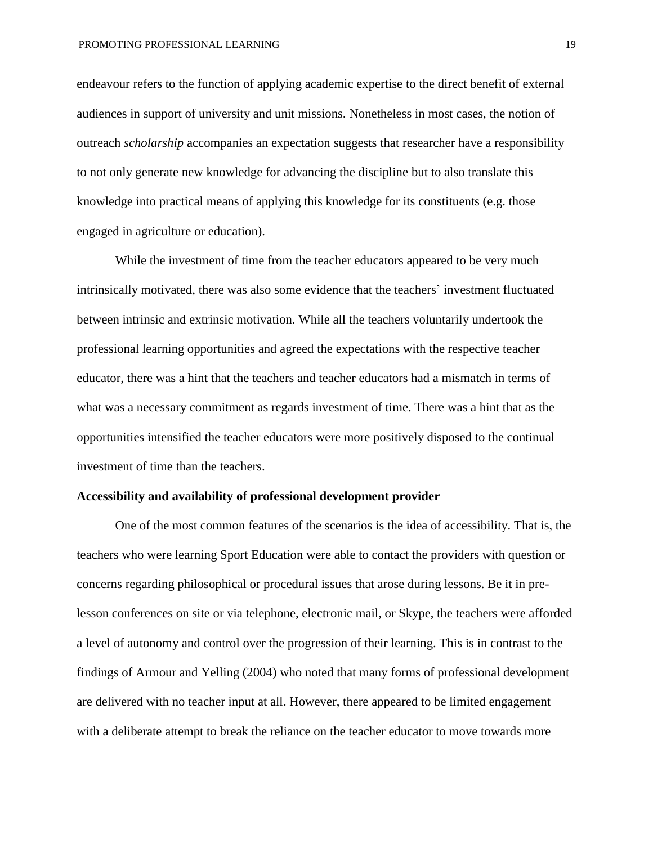endeavour refers to the function of applying academic expertise to the direct benefit of external audiences in support of university and unit missions. Nonetheless in most cases, the notion of outreach *scholarship* accompanies an expectation suggests that researcher have a responsibility to not only generate new knowledge for advancing the discipline but to also translate this knowledge into practical means of applying this knowledge for its constituents (e.g. those engaged in agriculture or education).

While the investment of time from the teacher educators appeared to be very much intrinsically motivated, there was also some evidence that the teachers' investment fluctuated between intrinsic and extrinsic motivation. While all the teachers voluntarily undertook the professional learning opportunities and agreed the expectations with the respective teacher educator, there was a hint that the teachers and teacher educators had a mismatch in terms of what was a necessary commitment as regards investment of time. There was a hint that as the opportunities intensified the teacher educators were more positively disposed to the continual investment of time than the teachers.

#### **Accessibility and availability of professional development provider**

One of the most common features of the scenarios is the idea of accessibility. That is, the teachers who were learning Sport Education were able to contact the providers with question or concerns regarding philosophical or procedural issues that arose during lessons. Be it in prelesson conferences on site or via telephone, electronic mail, or Skype, the teachers were afforded a level of autonomy and control over the progression of their learning. This is in contrast to the findings of Armour and Yelling (2004) who noted that many forms of professional development are delivered with no teacher input at all. However, there appeared to be limited engagement with a deliberate attempt to break the reliance on the teacher educator to move towards more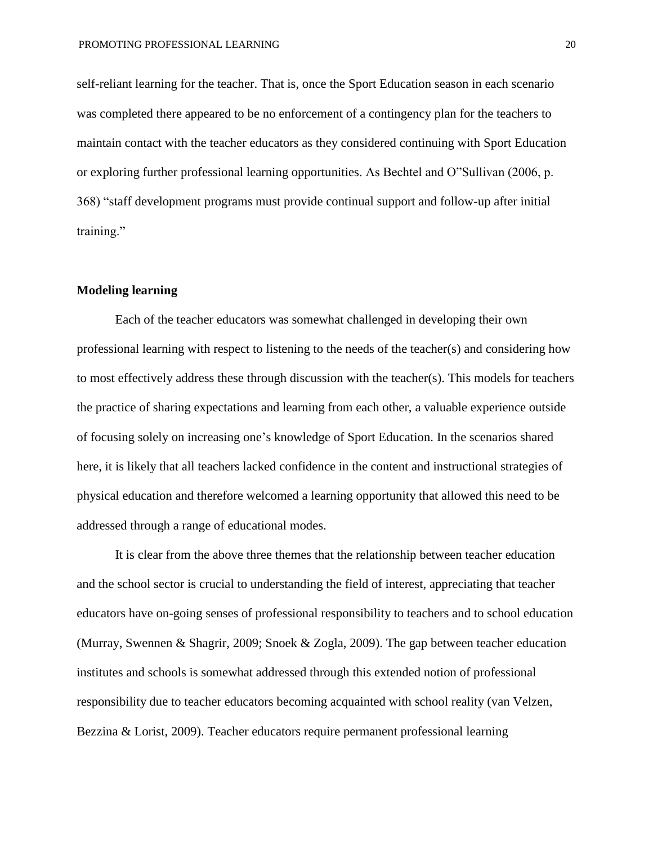self-reliant learning for the teacher. That is, once the Sport Education season in each scenario was completed there appeared to be no enforcement of a contingency plan for the teachers to maintain contact with the teacher educators as they considered continuing with Sport Education or exploring further professional learning opportunities. As Bechtel and O"Sullivan (2006, p. 368) "staff development programs must provide continual support and follow-up after initial training."

# **Modeling learning**

Each of the teacher educators was somewhat challenged in developing their own professional learning with respect to listening to the needs of the teacher(s) and considering how to most effectively address these through discussion with the teacher(s). This models for teachers the practice of sharing expectations and learning from each other, a valuable experience outside of focusing solely on increasing one's knowledge of Sport Education. In the scenarios shared here, it is likely that all teachers lacked confidence in the content and instructional strategies of physical education and therefore welcomed a learning opportunity that allowed this need to be addressed through a range of educational modes.

It is clear from the above three themes that the relationship between teacher education and the school sector is crucial to understanding the field of interest, appreciating that teacher educators have on-going senses of professional responsibility to teachers and to school education (Murray, Swennen & Shagrir, 2009; Snoek & Zogla, 2009). The gap between teacher education institutes and schools is somewhat addressed through this extended notion of professional responsibility due to teacher educators becoming acquainted with school reality (van Velzen, Bezzina & Lorist, 2009). Teacher educators require permanent professional learning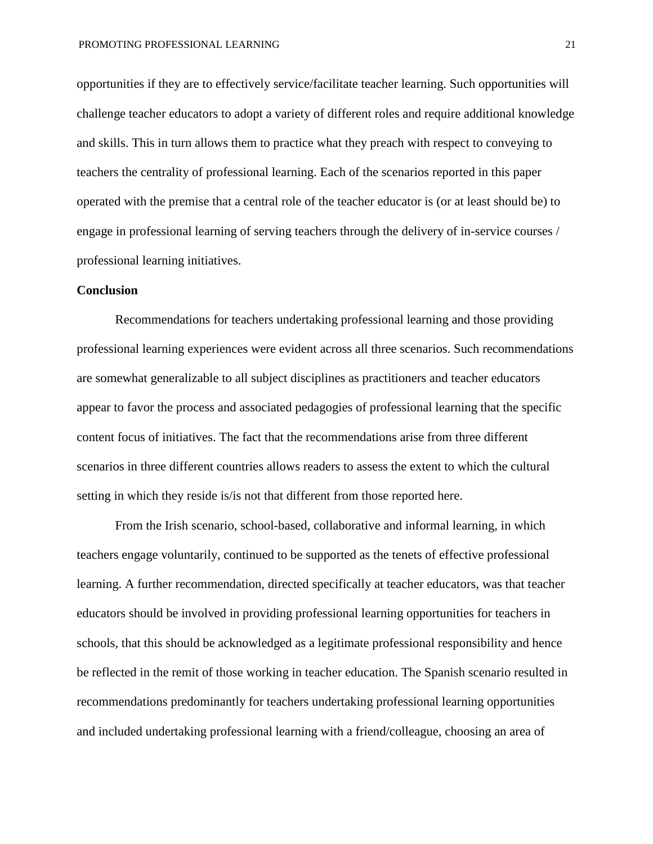opportunities if they are to effectively service/facilitate teacher learning. Such opportunities will challenge teacher educators to adopt a variety of different roles and require additional knowledge and skills. This in turn allows them to practice what they preach with respect to conveying to teachers the centrality of professional learning. Each of the scenarios reported in this paper operated with the premise that a central role of the teacher educator is (or at least should be) to engage in professional learning of serving teachers through the delivery of in-service courses / professional learning initiatives.

# **Conclusion**

Recommendations for teachers undertaking professional learning and those providing professional learning experiences were evident across all three scenarios. Such recommendations are somewhat generalizable to all subject disciplines as practitioners and teacher educators appear to favor the process and associated pedagogies of professional learning that the specific content focus of initiatives. The fact that the recommendations arise from three different scenarios in three different countries allows readers to assess the extent to which the cultural setting in which they reside is/is not that different from those reported here.

From the Irish scenario, school-based, collaborative and informal learning, in which teachers engage voluntarily, continued to be supported as the tenets of effective professional learning. A further recommendation, directed specifically at teacher educators, was that teacher educators should be involved in providing professional learning opportunities for teachers in schools, that this should be acknowledged as a legitimate professional responsibility and hence be reflected in the remit of those working in teacher education. The Spanish scenario resulted in recommendations predominantly for teachers undertaking professional learning opportunities and included undertaking professional learning with a friend/colleague, choosing an area of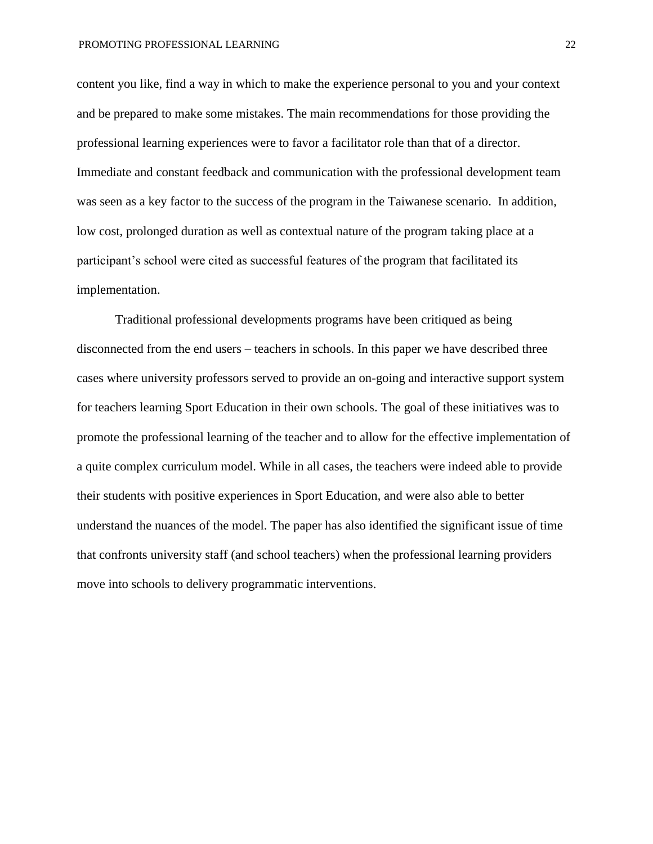content you like, find a way in which to make the experience personal to you and your context and be prepared to make some mistakes. The main recommendations for those providing the professional learning experiences were to favor a facilitator role than that of a director. Immediate and constant feedback and communication with the professional development team was seen as a key factor to the success of the program in the Taiwanese scenario. In addition, low cost, prolonged duration as well as contextual nature of the program taking place at a participant's school were cited as successful features of the program that facilitated its implementation.

Traditional professional developments programs have been critiqued as being disconnected from the end users – teachers in schools. In this paper we have described three cases where university professors served to provide an on-going and interactive support system for teachers learning Sport Education in their own schools. The goal of these initiatives was to promote the professional learning of the teacher and to allow for the effective implementation of a quite complex curriculum model. While in all cases, the teachers were indeed able to provide their students with positive experiences in Sport Education, and were also able to better understand the nuances of the model. The paper has also identified the significant issue of time that confronts university staff (and school teachers) when the professional learning providers move into schools to delivery programmatic interventions.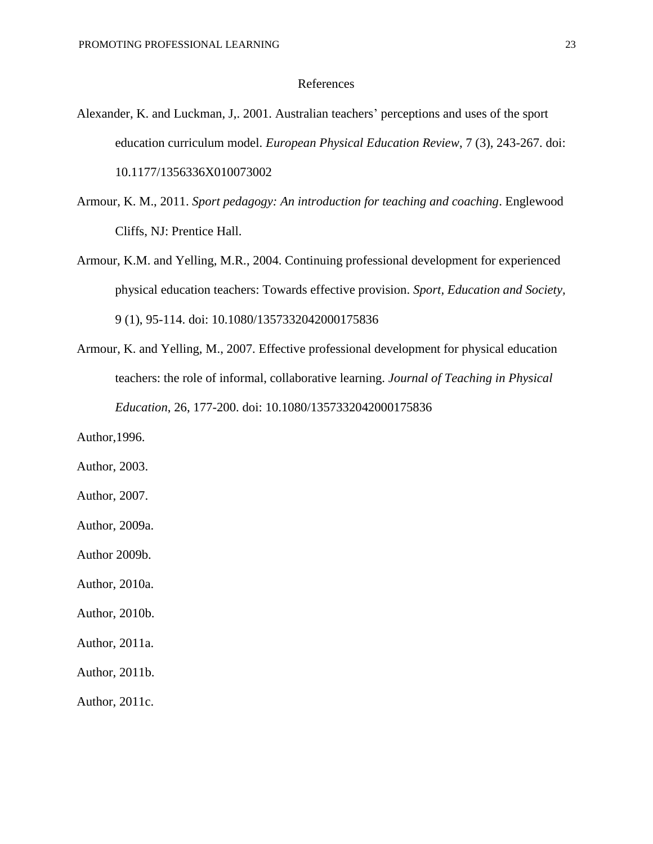# References

- Alexander, K. and Luckman, J,. 2001. Australian teachers' perceptions and uses of the sport education curriculum model. *European Physical Education Review*, 7 (3), 243-267. doi: 10.1177/1356336X010073002
- Armour, K. M., 2011. *Sport pedagogy: An introduction for teaching and coaching*. Englewood Cliffs, NJ: Prentice Hall.
- Armour, K.M. and Yelling, M.R., 2004. Continuing professional development for experienced physical education teachers: Towards effective provision. *Sport, Education and Society,*  9 (1), 95-114. doi: 10.1080/1357332042000175836
- Armour, K. and Yelling, M., 2007. Effective professional development for physical education teachers: the role of informal, collaborative learning. *Journal of Teaching in Physical Education*, 26, 177-200. doi: 10.1080/1357332042000175836

Author,1996.

Author, 2003.

Author, 2007.

Author, 2009a.

Author 2009b.

Author, 2010a.

Author, 2010b.

Author, 2011a.

Author, 2011b.

Author, 2011c.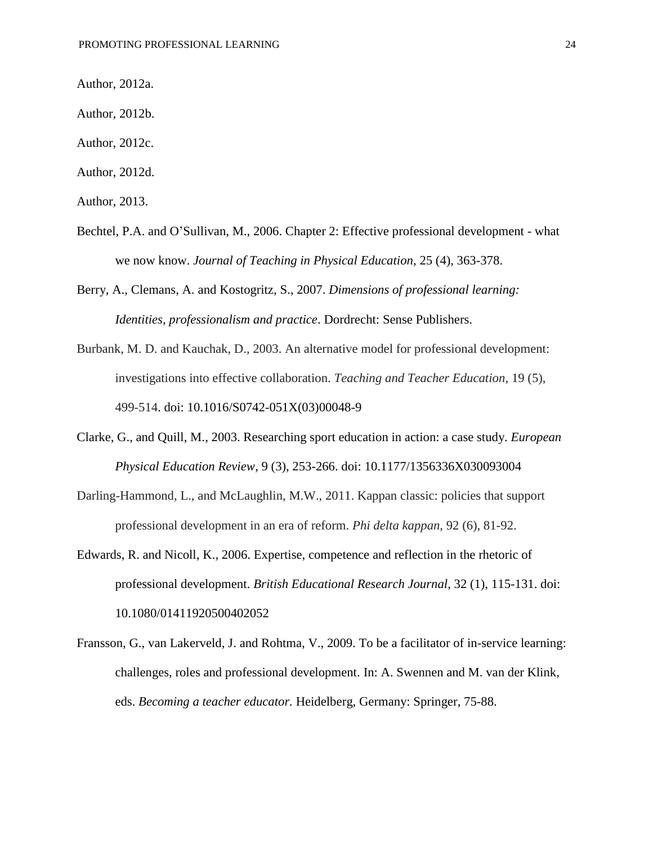Author, 2012a.

Author, 2012b.

Author, 2012c.

Author, 2012d.

Author, 2013.

Bechtel, P.A. and O'Sullivan, M., 2006. Chapter 2: Effective professional development - what we now know. *Journal of Teaching in Physical Education,* 25 (4), 363-378.

Berry, A., Clemans, A. and Kostogritz, S., 2007. *Dimensions of professional learning: Identities, professionalism and practice*. Dordrecht: Sense Publishers.

- Burbank, M. D. and Kauchak, D., 2003. An alternative model for professional development: investigations into effective collaboration. *Teaching and Teacher Education*, 19 (5), 499-514. doi: 10.1016/S0742-051X(03)00048-9
- Clarke, G., and Quill, M., 2003. Researching sport education in action: a case study. *European Physical Education Review*, 9 (3), 253-266. doi: 10.1177/1356336X030093004
- Darling-Hammond, L., and McLaughlin, M.W., 2011. Kappan classic: policies that support professional development in an era of reform. *Phi delta kappan*, 92 (6), 81-92.
- Edwards, R. and Nicoll, K., 2006. Expertise, competence and reflection in the rhetoric of professional development. *British Educational Research Journal*, 32 (1), 115-131. doi: 10.1080/01411920500402052
- Fransson, G., van Lakerveld, J. and Rohtma, V., 2009. To be a facilitator of in-service learning: challenges, roles and professional development. In: A. Swennen and M. van der Klink, eds. *Becoming a teacher educator.* Heidelberg, Germany: Springer, 75-88.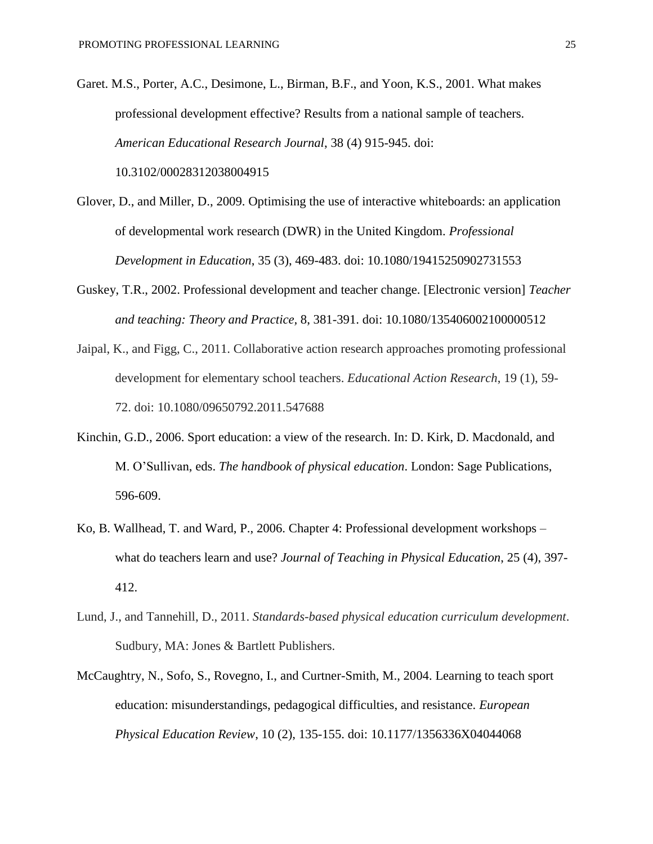Garet. M.S., Porter, A.C., Desimone, L., Birman, B.F., and Yoon, K.S., 2001. What makes professional development effective? Results from a national sample of teachers. *American Educational Research Journal*, 38 (4) 915-945. doi: 10.3102/00028312038004915

Glover, D., and Miller, D., 2009. Optimising the use of interactive whiteboards: an application of developmental work research (DWR) in the United Kingdom. *Professional* 

*Development in Education*, 35 (3), 469-483. doi: 10.1080/19415250902731553

- Guskey, T.R., 2002. Professional development and teacher change. [Electronic version] *Teacher and teaching: Theory and Practice,* 8, 381-391. doi: 10.1080/135406002100000512
- Jaipal, K., and Figg, C., 2011. Collaborative action research approaches promoting professional development for elementary school teachers. *Educational Action Research*, 19 (1), 59- 72. doi: 10.1080/09650792.2011.547688
- Kinchin, G.D., 2006. Sport education: a view of the research. In: D. Kirk, D. Macdonald, and M. O'Sullivan, eds. *The handbook of physical education*. London: Sage Publications, 596-609.
- Ko, B. Wallhead, T. and Ward, P., 2006. Chapter 4: Professional development workshops what do teachers learn and use? *Journal of Teaching in Physical Education*, 25 (4), 397- 412.
- Lund, J., and Tannehill, D., 2011. *Standards-based physical education curriculum development*. Sudbury, MA: Jones & Bartlett Publishers.
- McCaughtry, N., Sofo, S., Rovegno, I., and Curtner-Smith, M., 2004. Learning to teach sport education: misunderstandings, pedagogical difficulties, and resistance. *European Physical Education Review*, 10 (2), 135-155. doi: 10.1177/1356336X04044068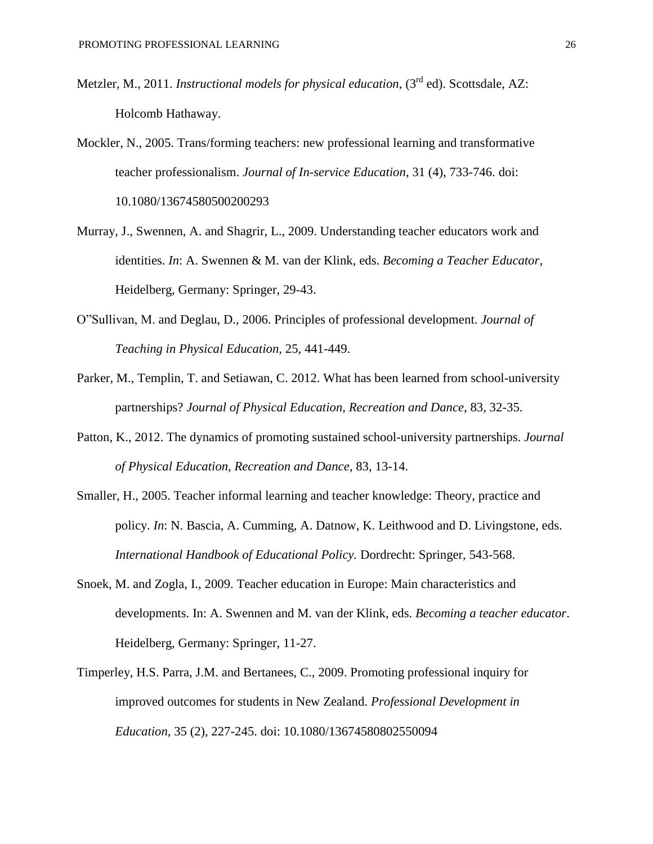- Metzler, M., 2011. *Instructional models for physical education*, (3<sup>rd</sup> ed). Scottsdale, AZ: Holcomb Hathaway.
- Mockler, N., 2005. Trans/forming teachers: new professional learning and transformative teacher professionalism. *Journal of In-service Education*, 31 (4), 733-746. doi: 10.1080/13674580500200293
- Murray, J., Swennen, A. and Shagrir, L., 2009. Understanding teacher educators work and identities. *In*: A. Swennen & M. van der Klink, eds. *Becoming a Teacher Educator*, Heidelberg, Germany: Springer, 29-43.
- O"Sullivan, M. and Deglau, D., 2006. Principles of professional development. *Journal of Teaching in Physical Education,* 25, 441-449.
- Parker, M., Templin, T. and Setiawan, C. 2012. What has been learned from school-university partnerships? *Journal of Physical Education, Recreation and Dance,* 83, 32-35.
- Patton, K., 2012. The dynamics of promoting sustained school-university partnerships. *Journal of Physical Education, Recreation and Dance*, 83, 13-14.
- Smaller, H., 2005. Teacher informal learning and teacher knowledge: Theory, practice and policy. *In*: N. Bascia, A. Cumming, A. Datnow, K. Leithwood and D. Livingstone, eds. *International Handbook of Educational Policy.* Dordrecht: Springer, 543-568.
- Snoek, M. and Zogla, I., 2009. Teacher education in Europe: Main characteristics and developments. In: A. Swennen and M. van der Klink, eds. *Becoming a teacher educator*. Heidelberg, Germany: Springer, 11-27.
- Timperley, H.S. Parra, J.M. and Bertanees, C., 2009. Promoting professional inquiry for improved outcomes for students in New Zealand. *Professional Development in Education*, 35 (2), 227-245. doi: 10.1080/13674580802550094